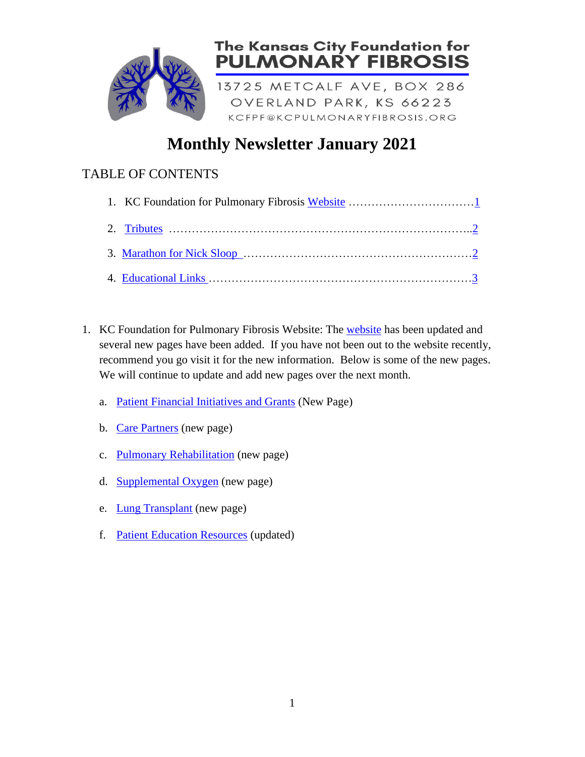

## **Monthly Newsletter January 2021**

## TABLE OF CONTENTS

- <span id="page-0-0"></span>1. KC Foundation for Pulmonary Fibrosis Website: The [website](https://www.kcpulmonaryfibrosis.org/) has been updated and several new pages have been added. If you have not been out to the website recently, recommend you go visit it for the new information. Below is some of the new pages. We will continue to update and add new pages over the next month.
	- a. [Patient Financial Initiatives and Grants](https://www.kcpulmonaryfibrosis.org/grants-intiatives) (New Page)
	- b. [Care Partners](https://www.kcpulmonaryfibrosis.org/care-partners) (new page)
	- c. [Pulmonary Rehabilitation](https://www.kcpulmonaryfibrosis.org/copy-of-pulmonary-rehab) (new page)
	- d. [Supplemental Oxygen](https://www.kcpulmonaryfibrosis.org/oxygen) (new page)
	- e. **[Lung Transplant](https://www.kcpulmonaryfibrosis.org/lung-transplant)** (new page)
	- f. [Patient Education Resources](https://www.kcpulmonaryfibrosis.org/patient-resources) (updated)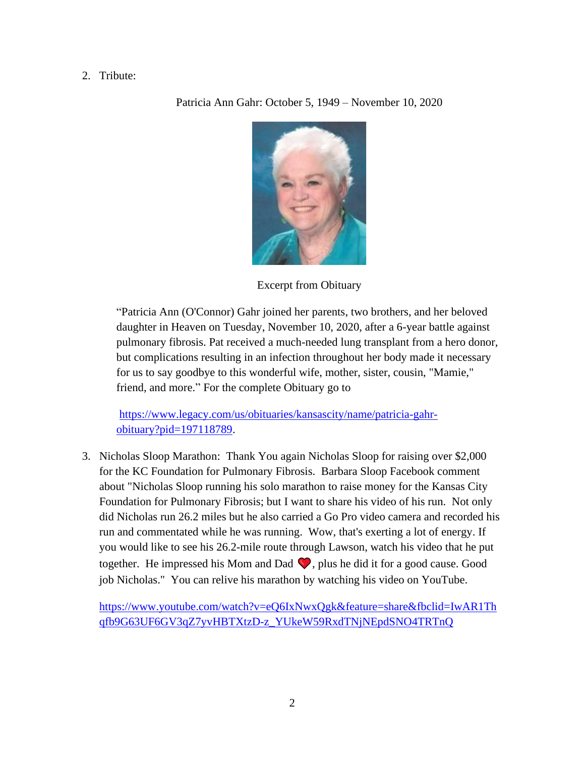## <span id="page-1-0"></span>2. Tribute:

Patricia Ann Gahr: October 5, 1949 – November 10, 2020



Excerpt from Obituary

"Patricia Ann (O'Connor) Gahr joined her parents, two brothers, and her beloved daughter in Heaven on Tuesday, November 10, 2020, after a 6-year battle against pulmonary fibrosis. Pat received a much-needed lung transplant from a hero donor, but complications resulting in an infection throughout her body made it necessary for us to say goodbye to this wonderful wife, mother, sister, cousin, "Mamie," friend, and more." For the complete Obituary go to

[https://www.legacy.com/us/obituaries/kansascity/name/patricia-gahr](https://www.legacy.com/us/obituaries/kansascity/name/patricia-gahr-obituary?pid=197118789)[obituary?pid=197118789.](https://www.legacy.com/us/obituaries/kansascity/name/patricia-gahr-obituary?pid=197118789)

<span id="page-1-1"></span>3. Nicholas Sloop Marathon: Thank You again Nicholas Sloop for raising over \$2,000 for the KC Foundation for Pulmonary Fibrosis. Barbara Sloop Facebook comment about "Nicholas Sloop running his solo marathon to raise money for the Kansas City Foundation for Pulmonary Fibrosis; but I want to share his video of his run. Not only did Nicholas run 26.2 miles but he also carried a Go Pro video camera and recorded his run and commentated while he was running. Wow, that's exerting a lot of energy. If you would like to see his 26.2-mile route through Lawson, watch his video that he put together. He impressed his Mom and Dad  $\bigcirc$ , plus he did it for a good cause. Good job Nicholas." You can relive his marathon by watching his video on YouTube.

[https://www.youtube.com/watch?v=eQ6IxNwxQgk&feature=share&fbclid=IwAR1Th](https://www.youtube.com/watch?v=eQ6IxNwxQgk&feature=share&fbclid=IwAR1Thqfb9G63UF6GV3qZ7yvHBTXtzD-z_YUkeW59RxdTNjNEpdSNO4TRTnQ) [qfb9G63UF6GV3qZ7yvHBTXtzD-z\\_YUkeW59RxdTNjNEpdSNO4TRTnQ](https://www.youtube.com/watch?v=eQ6IxNwxQgk&feature=share&fbclid=IwAR1Thqfb9G63UF6GV3qZ7yvHBTXtzD-z_YUkeW59RxdTNjNEpdSNO4TRTnQ)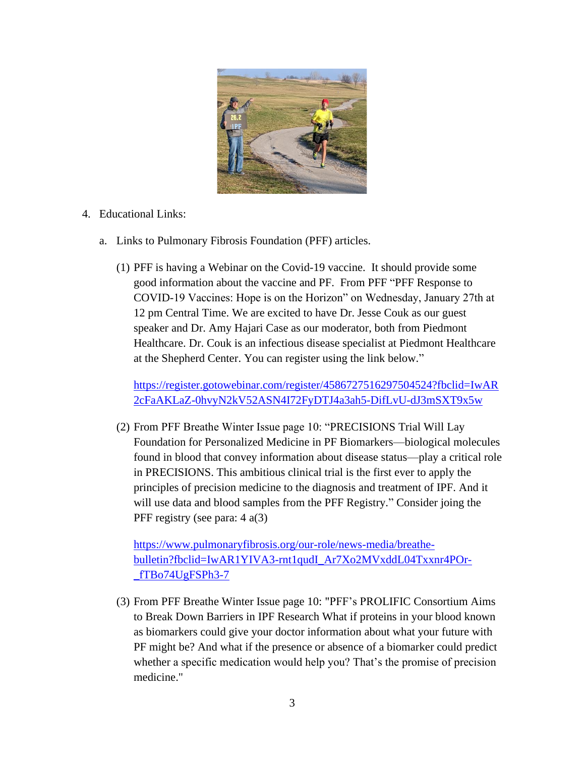

## <span id="page-2-0"></span>4. Educational Links:

- a. Links to Pulmonary Fibrosis Foundation (PFF) articles.
	- (1) PFF is having a Webinar on the Covid-19 vaccine. It should provide some good information about the vaccine and PF. From PFF "PFF Response to COVID-19 Vaccines: Hope is on the Horizon" on Wednesday, January 27th at 12 pm Central Time. We are excited to have Dr. Jesse Couk as our guest speaker and Dr. Amy Hajari Case as our moderator, both from Piedmont Healthcare. Dr. Couk is an infectious disease specialist at Piedmont Healthcare at the Shepherd Center. You can register using the link below."

[https://register.gotowebinar.com/register/4586727516297504524?fbclid=IwAR](https://register.gotowebinar.com/register/4586727516297504524?fbclid=IwAR2cFaAKLaZ-0hvyN2kV52ASN4I72FyDTJ4a3ah5-DifLvU-dJ3mSXT9x5w) [2cFaAKLaZ-0hvyN2kV52ASN4I72FyDTJ4a3ah5-DifLvU-dJ3mSXT9x5w](https://register.gotowebinar.com/register/4586727516297504524?fbclid=IwAR2cFaAKLaZ-0hvyN2kV52ASN4I72FyDTJ4a3ah5-DifLvU-dJ3mSXT9x5w)

(2) From PFF Breathe Winter Issue page 10: "PRECISIONS Trial Will Lay Foundation for Personalized Medicine in PF Biomarkers—biological molecules found in blood that convey information about disease status—play a critical role in PRECISIONS. This ambitious clinical trial is the first ever to apply the principles of precision medicine to the diagnosis and treatment of IPF. And it will use data and blood samples from the PFF Registry." Consider joing the PFF registry (see para: 4 a(3)

[https://www.pulmonaryfibrosis.org/our-role/news-media/breathe](https://www.pulmonaryfibrosis.org/our-role/news-media/breathe-bulletin?fbclid=IwAR1YIVA3-rnt1qudI_Ar7Xo2MVxddL04Txxnr4POr-_fTBo74UgFSPh3-7)[bulletin?fbclid=IwAR1YIVA3-rnt1qudI\\_Ar7Xo2MVxddL04Txxnr4POr-](https://www.pulmonaryfibrosis.org/our-role/news-media/breathe-bulletin?fbclid=IwAR1YIVA3-rnt1qudI_Ar7Xo2MVxddL04Txxnr4POr-_fTBo74UgFSPh3-7) [\\_fTBo74UgFSPh3-7](https://www.pulmonaryfibrosis.org/our-role/news-media/breathe-bulletin?fbclid=IwAR1YIVA3-rnt1qudI_Ar7Xo2MVxddL04Txxnr4POr-_fTBo74UgFSPh3-7)

(3) From PFF Breathe Winter Issue page 10: "PFF's PROLIFIC Consortium Aims to Break Down Barriers in IPF Research What if proteins in your blood known as biomarkers could give your doctor information about what your future with PF might be? And what if the presence or absence of a biomarker could predict whether a specific medication would help you? That's the promise of precision medicine."